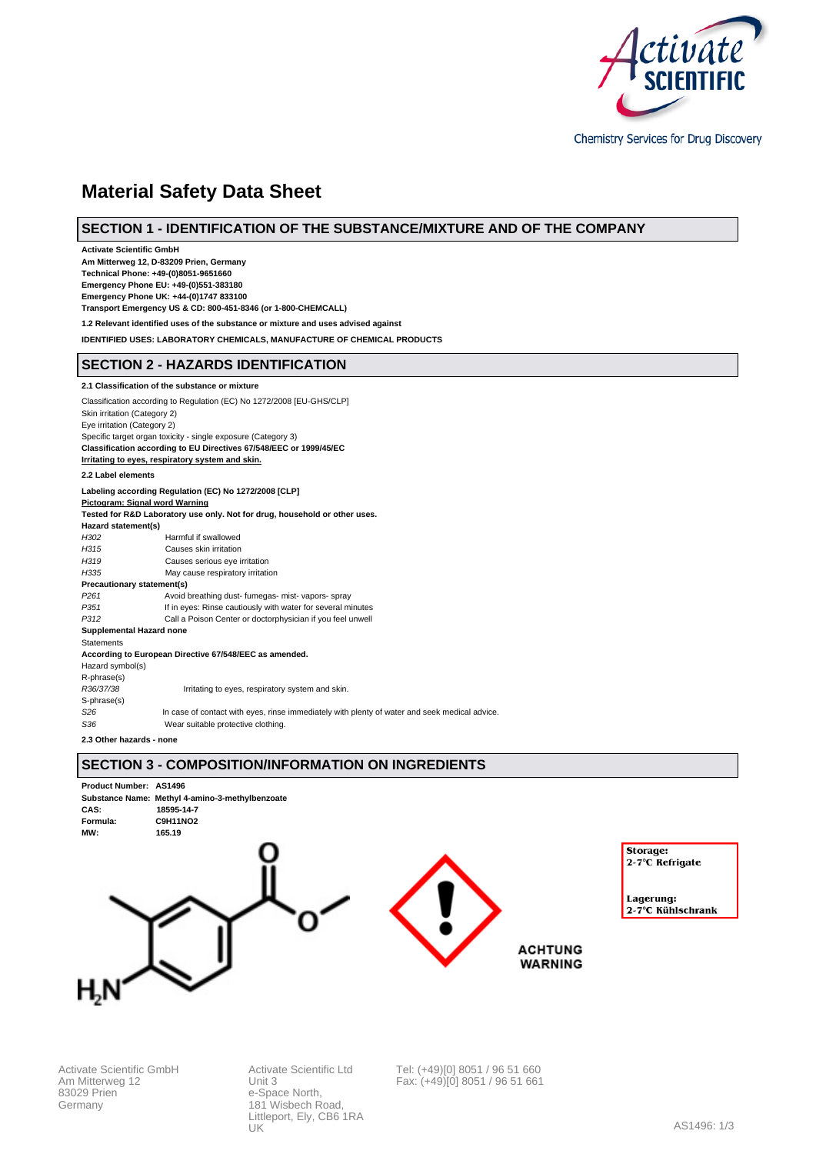

Chemistry Services for Drug Discovery

# **Material Safety Data Sheet**

# **SECTION 1 - IDENTIFICATION OF THE SUBSTANCE/MIXTURE AND OF THE COMPANY**

**Activate Scientific GmbH Am Mitterweg 12, D-83209 Prien, Germany Technical Phone: +49-(0)8051-9651660 Emergency Phone EU: +49-(0)551-383180 Emergency Phone UK: +44-(0)1747 833100 Transport Emergency US & CD: 800-451-8346 (or 1-800-CHEMCALL) 1.2 Relevant identified uses of the substance or mixture and uses advised against IDENTIFIED USES: LABORATORY CHEMICALS, MANUFACTURE OF CHEMICAL PRODUCTS SECTION 2 - HAZARDS IDENTIFICATION 2.1 Classification of the substance or mixture** Classification according to Regulation (EC) No 1272/2008 [EU-GHS/CLP] Skin irritation (Category 2) Eye irritation (Category 2) Specific target organ toxicity - single exposure (Category 3) **Classification according to EU Directives 67/548/EEC or 1999/45/EC Irritating to eyes, respiratory system and skin. 2.2 Label elements Labeling according Regulation (EC) No 1272/2008 [CLP] Pictogram: Signal word Warning Tested for R&D Laboratory use only. Not for drug, household or other uses. Hazard statement(s)** H302 Harmful if swallowed H315 Causes skin irritation<br>
H319 Causes serious eve i Causes serious eye irritation H335 May cause respiratory irritation **Precautionary statement(s)** P261 Avoid breathing dust- fumegas- mist- vapors- spray<br>P351 If in eyes: Rinse cautiously with water for several m If in eyes: Rinse cautiously with water for several minutes P312 Call a Poison Center or doctorphysician if you feel unwell **Supplemental Hazard none Statements** 

**According to European Directive 67/548/EEC as amended.**

Hazard symbol(s) R-phrase(s)

R36/37/38 Irritating to eyes, respiratory system and skin.

S-phrase(s)<br>S26 In case of contact with eyes, rinse immediately with plenty of water and seek medical advice.

S<sub>36</sub> Wear suitable protective clothing.

**2.3 Other hazards - none**

# **SECTION 3 - COMPOSITION/INFORMATION ON INGREDIENTS**



Activate Scientific GmbH Am Mitterweg 12 83029 Prien Germany

Activate Scientific Ltd Unit 3 e-Space North, 181 Wisbech Road, Littleport, Ely, CB6 1RA UK

Tel: (+49)[0] 8051 / 96 51 660 Fax: (+49)[0] 8051 / 96 51 661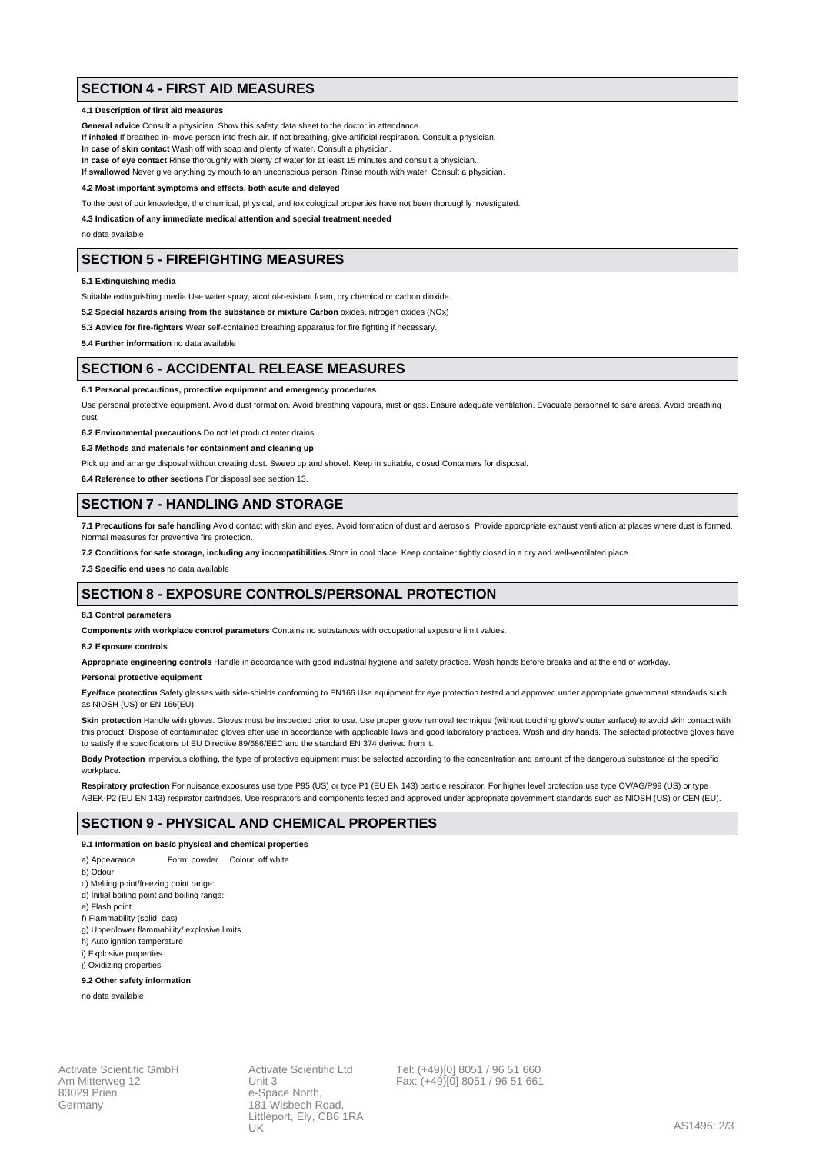# **SECTION 4 - FIRST AID MEASURES**

### **4.1 Description of first aid measures**

**General advice** Consult a physician. Show this safety data sheet to the doctor in attendance.

**If inhaled** If breathed in- move person into fresh air. If not breathing, give artificial respiration. Consult a physician.

**In case of skin contact** Wash off with soap and plenty of water. Consult a physician.

**In case of eye contact** Rinse thoroughly with plenty of water for at least 15 minutes and consult a physician.

**If swallowed** Never give anything by mouth to an unconscious person. Rinse mouth with water. Consult a physician.

**4.2 Most important symptoms and effects, both acute and delayed**

To the best of our knowledge, the chemical, physical, and toxicological properties have not been thoroughly investigated.

**4.3 Indication of any immediate medical attention and special treatment needed**

no data available

# **SECTION 5 - FIREFIGHTING MEASURES**

**5.1 Extinguishing media**

Suitable extinguishing media Use water spray, alcohol-resistant foam, dry chemical or carbon dioxide.

**5.2 Special hazards arising from the substance or mixture Carbon** oxides, nitrogen oxides (NOx)

**5.3 Advice for fire-fighters** Wear self-contained breathing apparatus for fire fighting if necessary.

**5.4 Further information** no data available

### **SECTION 6 - ACCIDENTAL RELEASE MEASURES**

#### **6.1 Personal precautions, protective equipment and emergency procedures**

Use personal protective equipment. Avoid dust formation. Avoid breathing vapours, mist or gas. Ensure adequate ventilation. Evacuate personnel to safe areas. Avoid breathing dust.

**6.2 Environmental precautions** Do not let product enter drains.

**6.3 Methods and materials for containment and cleaning up**

Pick up and arrange disposal without creating dust. Sweep up and shovel. Keep in suitable, closed Containers for disposal.

**6.4 Reference to other sections** For disposal see section 13.

### **SECTION 7 - HANDLING AND STORAGE**

**7.1 Precautions for safe handling** Avoid contact with skin and eyes. Avoid formation of dust and aerosols. Provide appropriate exhaust ventilation at places where dust is formed. Normal measures for preventive fire protection.

**7.2 Conditions for safe storage, including any incompatibilities** Store in cool place. Keep container tightly closed in a dry and well-ventilated place.

**7.3 Specific end uses** no data available

# **SECTION 8 - EXPOSURE CONTROLS/PERSONAL PROTECTION**

#### **8.1 Control parameters**

**Components with workplace control parameters** Contains no substances with occupational exposure limit values.

### **8.2 Exposure controls**

**Appropriate engineering controls** Handle in accordance with good industrial hygiene and safety practice. Wash hands before breaks and at the end of workday.

#### **Personal protective equipment**

Eye/face protection Safety glasses with side-shields conforming to EN166 Use equipment for eye protection tested and approved under appropriate government standards such as NIOSH (US) or EN 166(EU).

Skin protection Handle with gloves. Gloves must be inspected prior to use. Use proper glove removal technique (without touching glove's outer surface) to avoid skin contact with this product. Dispose of contaminated gloves after use in accordance with applicable laws and good laboratory practices. Wash and dry hands. The selected protective gloves have to satisfy the specifications of EU Directive 89/686/EEC and the standard EN 374 derived from it.

**Body Protection** impervious clothing, the type of protective equipment must be selected according to the concentration and amount of the dangerous substance at the specific workplace

Respiratory protection For nuisance exposures use type P95 (US) or type P1 (EU EN 143) particle respirator. For higher level protection use type OV/AG/P99 (US) or type ABEK-P2 (EU EN 143) respirator cartridges. Use respirators and components tested and approved under appropriate government standards such as NIOSH (US) or CEN (EU).

### **SECTION 9 - PHYSICAL AND CHEMICAL PROPERTIES**

### **9.1 Information on basic physical and chemical properties**

- a) Appearance Form: powder Colour: off white
- b) Odour
- c) Melting point/freezing point range:
- d) Initial boiling point and boiling range:
- e) Flash point
- f) Flammability (solid, gas)
- g) Upper/lower flammability/ explosive limits
- h) Auto ignition temperature
- i) Explosive properties j) Oxidizing properties

### **9.2 Other safety information**

no data available

Activate Scientific GmbH Am Mitterweg 12 83029 Prien Germany

Activate Scientific Ltd Unit 3 e-Space North 181 Wisbech Road, Littleport, Ely, CB6 1RA UK

Tel: (+49)[0] 8051 / 96 51 660 Fax: (+49)[0] 8051 / 96 51 661